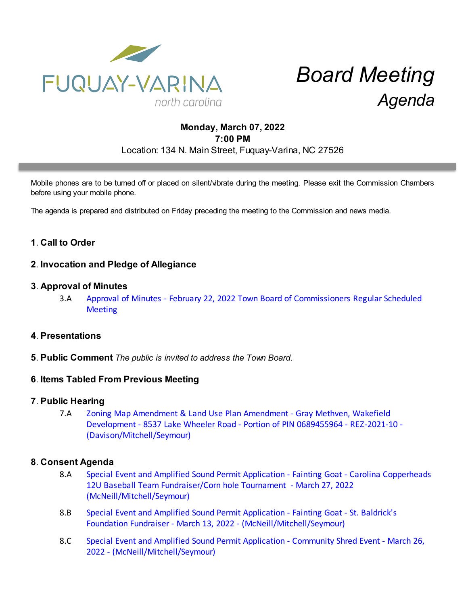

# *Board Meeting Agenda*

# **Monday, March 07, 2022 7:00 PM** Location: 134 N. Main Street, Fuquay-Varina, NC 27526

Mobile phones are to be turned off or placed on silent/vibrate during the meeting. Please exit the Commission Chambers before using your mobile phone.

The agenda is prepared and distributed on Friday preceding the meeting to the Commission and news media.

# **1**. **Call to Order**

## **2**. **Invocation and Pledge of Allegiance**

#### **3**. **Approval of Minutes**

3.A [Approval of Minutes - February 22, 2022 Town Board of Commissioners Regular Scheduled](https://d2kbkoa27fdvtw.cloudfront.net/fuquay-varina/5cbdbb1c1568b052fd55ed24419b2aea0.pdf) **[Meeting](https://d2kbkoa27fdvtw.cloudfront.net/fuquay-varina/5cbdbb1c1568b052fd55ed24419b2aea0.pdf)** 

## **4**. **Presentations**

**5**. **Public Comment** *The public is invited to address the Town Board.*

## **6**. **Items Tabled From Previous Meeting**

#### **7**. **Public Hearing**

7.A [Zoning Map Amendment & Land Use Plan Amendment - Gray Methven, Wakefield](https://d2kbkoa27fdvtw.cloudfront.net/fuquay-varina/44be486471406fdc2538981098ffd3260.pdf) [Development - 8537 Lake Wheeler Road - Portion of PIN 0689455964 - REZ-2021-10 -](https://d2kbkoa27fdvtw.cloudfront.net/fuquay-varina/44be486471406fdc2538981098ffd3260.pdf) [\(Davison/Mitchell/Seymour\)](https://d2kbkoa27fdvtw.cloudfront.net/fuquay-varina/44be486471406fdc2538981098ffd3260.pdf)

## **8**. **Consent Agenda**

- 8.A [Special Event and Amplified Sound Permit Application Fainting Goat Carolina Copperheads](https://d2kbkoa27fdvtw.cloudfront.net/fuquay-varina/eca6c99fd747e9cabc3360b9723175320.pdf) [12U Baseball Team Fundraiser/Corn hole Tournament - March 27, 2022](https://d2kbkoa27fdvtw.cloudfront.net/fuquay-varina/eca6c99fd747e9cabc3360b9723175320.pdf) [\(McNeill/Mitchell/Seymour\)](https://d2kbkoa27fdvtw.cloudfront.net/fuquay-varina/eca6c99fd747e9cabc3360b9723175320.pdf)
- 8.B [Special Event and Amplified Sound Permit Application Fainting Goat St. Baldrick's](https://d2kbkoa27fdvtw.cloudfront.net/fuquay-varina/c220b697259c64edaebd8d3fde5a20900.pdf) [Foundation Fundraiser - March 13, 2022 - \(McNeill/Mitchell/Seymour\)](https://d2kbkoa27fdvtw.cloudfront.net/fuquay-varina/c220b697259c64edaebd8d3fde5a20900.pdf)
- 8.C [Special Event and Amplified Sound Permit Application Community Shred Event March 26,](https://d2kbkoa27fdvtw.cloudfront.net/fuquay-varina/0b577441c366dd33a2afa0f6e2486bd50.pdf) [2022 - \(McNeill/Mitchell/Seymour\)](https://d2kbkoa27fdvtw.cloudfront.net/fuquay-varina/0b577441c366dd33a2afa0f6e2486bd50.pdf)